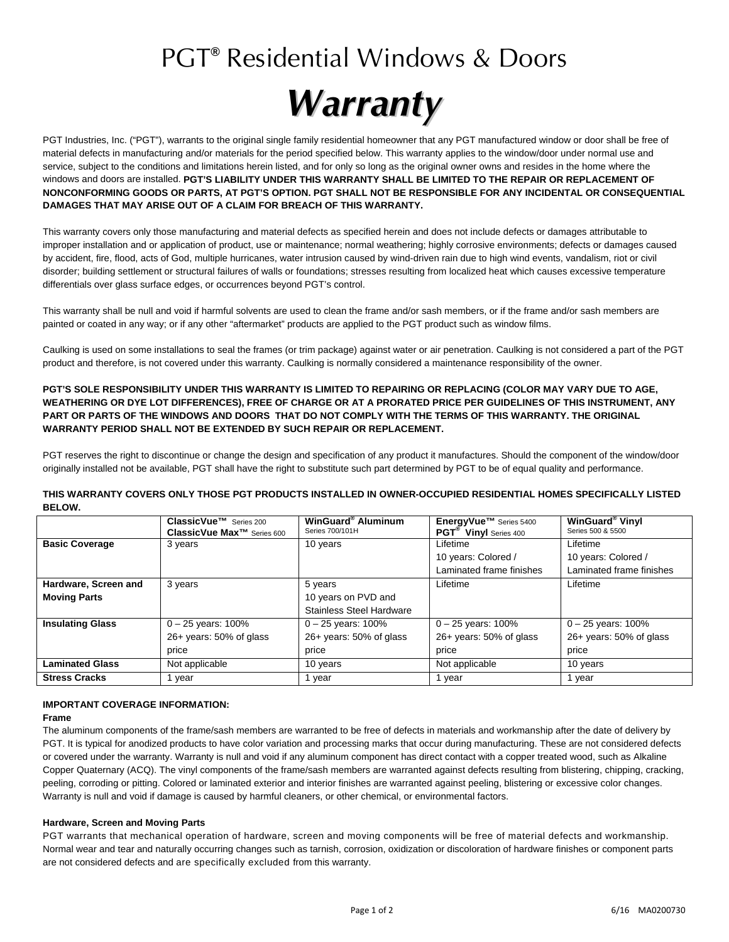# PGT**®** Residential Windows & Doors



PGT Industries, Inc. ("PGT"), warrants to the original single family residential homeowner that any PGT manufactured window or door shall be free of material defects in manufacturing and/or materials for the period specified below. This warranty applies to the window/door under normal use and service, subject to the conditions and limitations herein listed, and for only so long as the original owner owns and resides in the home where the windows and doors are installed. **PGT'S LIABILITY UNDER THIS WARRANTY SHALL BE LIMITED TO THE REPAIR OR REPLACEMENT OF NONCONFORMING GOODS OR PARTS, AT PGT'S OPTION. PGT SHALL NOT BE RESPONSIBLE FOR ANY INCIDENTAL OR CONSEQUENTIAL DAMAGES THAT MAY ARISE OUT OF A CLAIM FOR BREACH OF THIS WARRANTY.** 

This warranty covers only those manufacturing and material defects as specified herein and does not include defects or damages attributable to improper installation and or application of product, use or maintenance; normal weathering; highly corrosive environments; defects or damages caused by accident, fire, flood, acts of God, multiple hurricanes, water intrusion caused by wind-driven rain due to high wind events, vandalism, riot or civil disorder; building settlement or structural failures of walls or foundations; stresses resulting from localized heat which causes excessive temperature differentials over glass surface edges, or occurrences beyond PGT's control.

This warranty shall be null and void if harmful solvents are used to clean the frame and/or sash members, or if the frame and/or sash members are painted or coated in any way; or if any other "aftermarket" products are applied to the PGT product such as window films.

Caulking is used on some installations to seal the frames (or trim package) against water or air penetration. Caulking is not considered a part of the PGT product and therefore, is not covered under this warranty. Caulking is normally considered a maintenance responsibility of the owner.

## **PGT'S SOLE RESPONSIBILITY UNDER THIS WARRANTY IS LIMITED TO REPAIRING OR REPLACING (COLOR MAY VARY DUE TO AGE, WEATHERING OR DYE LOT DIFFERENCES), FREE OF CHARGE OR AT A PRORATED PRICE PER GUIDELINES OF THIS INSTRUMENT, ANY PART OR PARTS OF THE WINDOWS AND DOORS THAT DO NOT COMPLY WITH THE TERMS OF THIS WARRANTY. THE ORIGINAL WARRANTY PERIOD SHALL NOT BE EXTENDED BY SUCH REPAIR OR REPLACEMENT.**

PGT reserves the right to discontinue or change the design and specification of any product it manufactures. Should the component of the window/door originally installed not be available, PGT shall have the right to substitute such part determined by PGT to be of equal quality and performance.

#### **THIS WARRANTY COVERS ONLY THOSE PGT PRODUCTS INSTALLED IN OWNER-OCCUPIED RESIDENTIAL HOMES SPECIFICALLY LISTED BELOW.**

|                         | ClassicVue <sup>™</sup> Series 200<br>ClassicVue Max <sup>™</sup> Series 600 | WinGuard <sup>®</sup> Aluminum<br>Series 700/101H | EnergyVue™ Series 5400<br><b>PGT<sup>®</sup></b> Vinyl Series 400 | WinGuard <sup>®</sup> Vinyl<br>Series 500 & 5500 |
|-------------------------|------------------------------------------------------------------------------|---------------------------------------------------|-------------------------------------------------------------------|--------------------------------------------------|
| <b>Basic Coverage</b>   | 3 years                                                                      | 10 years                                          | Lifetime                                                          | Lifetime                                         |
|                         |                                                                              |                                                   | 10 years: Colored /                                               | 10 years: Colored /                              |
|                         |                                                                              |                                                   | Laminated frame finishes                                          | Laminated frame finishes                         |
| Hardware, Screen and    | 3 years                                                                      | 5 years                                           | Lifetime                                                          | Lifetime                                         |
| <b>Moving Parts</b>     |                                                                              | 10 years on PVD and                               |                                                                   |                                                  |
|                         |                                                                              | <b>Stainless Steel Hardware</b>                   |                                                                   |                                                  |
| <b>Insulating Glass</b> | $0 - 25$ years: 100%                                                         | $0 - 25$ years: 100%                              | $0 - 25$ years: 100%                                              | $0 - 25$ years: 100%                             |
|                         | $26 + \text{years}$ : 50% of glass                                           | 26+ years: 50% of glass                           | $26+$ years: 50% of glass                                         | $26+$ years: 50% of glass                        |
|                         | price                                                                        | price                                             | price                                                             | price                                            |
| <b>Laminated Glass</b>  | Not applicable                                                               | 10 years                                          | Not applicable                                                    | 10 years                                         |
| <b>Stress Cracks</b>    | 1 year                                                                       | 1 year                                            | year                                                              | vear                                             |

# **IMPORTANT COVERAGE INFORMATION:**

#### **Frame**

The aluminum components of the frame/sash members are warranted to be free of defects in materials and workmanship after the date of delivery by PGT. It is typical for anodized products to have color variation and processing marks that occur during manufacturing. These are not considered defects or covered under the warranty. Warranty is null and void if any aluminum component has direct contact with a copper treated wood, such as Alkaline Copper Quaternary (ACQ). The vinyl components of the frame/sash members are warranted against defects resulting from blistering, chipping, cracking, peeling, corroding or pitting. Colored or laminated exterior and interior finishes are warranted against peeling, blistering or excessive color changes. Warranty is null and void if damage is caused by harmful cleaners, or other chemical, or environmental factors.

### **Hardware, Screen and Moving Parts**

PGT warrants that mechanical operation of hardware, screen and moving components will be free of material defects and workmanship. Normal wear and tear and naturally occurring changes such as tarnish, corrosion, oxidization or discoloration of hardware finishes or component parts are not considered defects and are specifically excluded from this warranty.